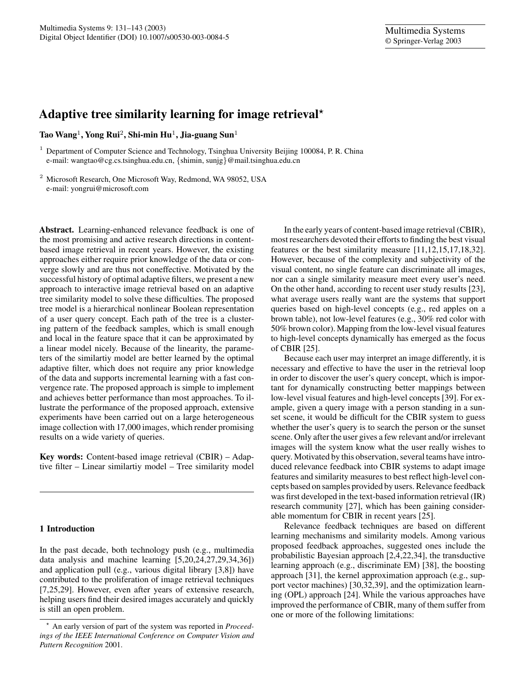# **Adaptive tree similarity learning for image retrieval**

**Tao Wang**<sup>1</sup>**, Yong Rui**<sup>2</sup>**, Shi-min Hu**<sup>1</sup>**, Jia-guang Sun**<sup>1</sup>

 $1$  Department of Computer Science and Technology, Tsinghua University Beijing 100084, P.R. China e-mail: wangtao@cg.cs.tsinghua.edu.cn, {shimin, sunjg}@mail.tsinghua.edu.cn

<sup>2</sup> Microsoft Research, One Microsoft Way, Redmond, WA 98052, USA e-mail: yongrui@microsoft.com

**Abstract.** Learning-enhanced relevance feedback is one of the most promising and active research directions in contentbased image retrieval in recent years. However, the existing approaches either require prior knowledge of the data or converge slowly and are thus not coneffective. Motivated by the successful history of optimal adaptive filters, we present a new approach to interactive image retrieval based on an adaptive tree similarity model to solve these difficulties. The proposed tree model is a hierarchical nonlinear Boolean representation of a user query concept. Each path of the tree is a clustering pattern of the feedback samples, which is small enough and local in the feature space that it can be approximated by a linear model nicely. Because of the linearity, the parameters of the similartiy model are better learned by the optimal adaptive filter, which does not require any prior knowledge of the data and supports incremental learning with a fast convergence rate. The proposed approach is simple to implement and achieves better performance than most approaches. To illustrate the performance of the proposed approach, extensive experiments have been carried out on a large heterogeneous image collection with 17,000 images, which render promising results on a wide variety of queries.

**Key words:** Content-based image retrieval (CBIR) – Adaptive filter – Linear similartiy model – Tree similarity model

## **1 Introduction**

In the past decade, both technology push (e.g., multimedia data analysis and machine learning [5,20,24,27,29,34,36]) and application pull (e.g., various digital library [3,8]) have contributed to the proliferation of image retrieval techniques [7,25,29]. However, even after years of extensive research, helping users find their desired images accurately and quickly is still an open problem.

In the early years of content-based image retrieval (CBIR), most researchers devoted their efforts to finding the best visual features or the best similarity measure [11,12,15,17,18,32]. However, because of the complexity and subjectivity of the visual content, no single feature can discriminate all images, nor can a single similarity measure meet every user's need. On the other hand, according to recent user study results [23], what average users really want are the systems that support queries based on high-level concepts (e.g., red apples on a brown table), not low-level features (e.g., 30% red color with 50% brown color). Mapping from the low-level visual features to high-level concepts dynamically has emerged as the focus of CBIR [25].

Because each user may interpret an image differently, it is necessary and effective to have the user in the retrieval loop in order to discover the user's query concept, which is important for dynamically constructing better mappings between low-level visual features and high-level concepts [39]. For example, given a query image with a person standing in a sunset scene, it would be difficult for the CBIR system to guess whether the user's query is to search the person or the sunset scene. Only after the user gives a few relevant and/or irrelevant images will the system know what the user really wishes to query. Motivated by this observation, several teams have introduced relevance feedback into CBIR systems to adapt image features and similarity measures to best reflect high-level concepts based on samples provided by users. Relevance feedback was first developed in the text-based information retrieval (IR) research community [27], which has been gaining considerable momentum for CBIR in recent years [25].

Relevance feedback techniques are based on different learning mechanisms and similarity models. Among various proposed feedback approaches, suggested ones include the probabilistic Bayesian approach [2,4,22,34], the transductive learning approach (e.g., discriminate EM) [38], the boosting approach [31], the kernel approximation approach (e.g., support vector machines) [30,32,39], and the optimization learning (OPL) approach [24]. While the various approaches have improved the performance of CBIR, many of them suffer from one or more of the following limitations:

An early version of part of the system was reported in *Proceedings of the IEEE International Conference on Computer Vision and Pattern Recognition* 2001.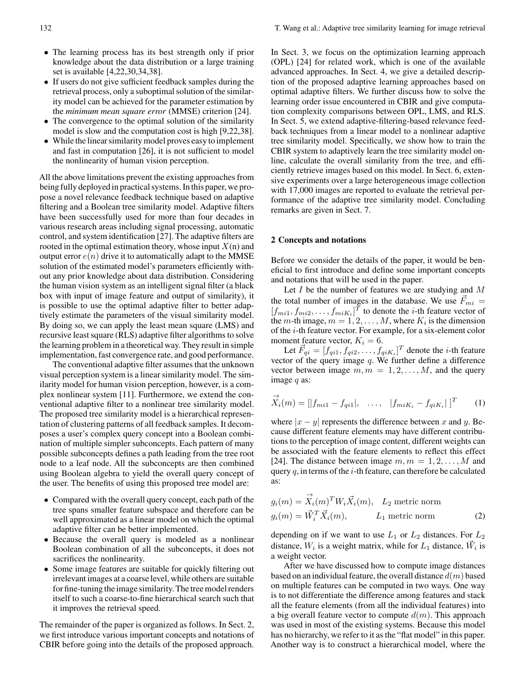- The learning process has its best strength only if prior knowledge about the data distribution or a large training set is available [4,22,30,34,38].
- If users do not give sufficient feedback samples during the retrieval process, only a suboptimal solution of the similarity model can be achieved for the parameter estimation by the *minimum mean square error* (MMSE) criterion [24].
- The convergence to the optimal solution of the similarity model is slow and the computation cost is high [9,22,38].
- While the linear similarity model proves easy to implement and fast in computation [26], it is not sufficient to model the nonlinearity of human vision perception.

All the above limitations prevent the existing approaches from being fully deployed in practical systems. In this paper, we propose a novel relevance feedback technique based on adaptive filtering and a Boolean tree similarity model. Adaptive filters have been successfully used for more than four decades in various research areas including signal processing, automatic control, and system identification [27]. The adaptive filters are rooted in the optimal estimation theory, whose input  $X(n)$  and output error  $e(n)$  drive it to automatically adapt to the MMSE solution of the estimated model's parameters efficiently without any prior knowledge about data distribution. Considering the human vision system as an intelligent signal filter (a black box with input of image feature and output of similarity), it is possible to use the optimal adaptive filter to better adaptively estimate the parameters of the visual similarity model. By doing so, we can apply the least mean square (LMS) and recursive least square (RLS) adaptive filter algorithms to solve the learning problem in a theoretical way. They result in simple implementation, fast convergence rate, and good performance.

The conventional adaptive filter assumes that the unknown visual perception system is a linear similarity model. The similarity model for human vision perception, however, is a complex nonlinear system [11]. Furthermore, we extend the conventional adaptive filter to a nonlinear tree similarity model. The proposed tree similarity model is a hierarchical representation of clustering patterns of all feedback samples. It decomposes a user's complex query concept into a Boolean combination of multiple simpler subconcepts. Each pattern of many possible subconcepts defines a path leading from the tree root node to a leaf node. All the subconcepts are then combined using Boolean algebra to yield the overall query concept of the user. The benefits of using this proposed tree model are:

- Compared with the overall query concept, each path of the tree spans smaller feature subspace and therefore can be well approximated as a linear model on which the optimal adaptive filter can be better implemented.
- Because the overall query is modeled as a nonlinear Boolean combination of all the subconcepts, it does not sacrifices the nonlinearity.
- Some image features are suitable for quickly filtering out irrelevant images at a coarse level, while others are suitable for fine-tuning the image similarity. The tree model renders itself to such a coarse-to-fine hierarchical search such that it improves the retrieval speed.

The remainder of the paper is organized as follows. In Sect. 2, we first introduce various important concepts and notations of CBIR before going into the details of the proposed approach.

In Sect. 3, we focus on the optimization learning approach (OPL) [24] for related work, which is one of the available advanced approaches. In Sect. 4, we give a detailed description of the proposed adaptive learning approaches based on optimal adaptive filters. We further discuss how to solve the learning order issue encountered in CBIR and give computation complexity comparisons between OPL, LMS, and RLS. In Sect. 5, we extend adaptive-filtering-based relevance feedback techniques from a linear model to a nonlinear adaptive tree similarity model. Specifically, we show how to train the CBIR system to adaptively learn the tree similarity model online, calculate the overall similarity from the tree, and efficiently retrieve images based on this model. In Sect. 6, extensive experiments over a large heterogeneous image collection with 17,000 images are reported to evaluate the retrieval performance of the adaptive tree similarity model. Concluding remarks are given in Sect. 7.

## **2 Concepts and notations**

Before we consider the details of the paper, it would be beneficial to first introduce and define some important concepts and notations that will be used in the paper.

Let  $I$  be the number of features we are studying and  $M$ the total number of images in the database. We use  $\vec{F}_{mi} =$  $[f_{mi1}, f_{mi2}, \ldots, f_{miK_i}]^T$  to denote the *i*-th feature vector of the m-th image,  $m = 1, 2, \dots, M$ , where  $K_i$  is the dimension of the i-th feature vector. For example, for a six-element color moment feature vector,  $K_i = 6$ .

Let  $\vec{F}_{qi} = [f_{qi1}, f_{qi2}, \dots, f_{qiK_i}]^T$  denote the *i*-th feature vector of the query image  $q$ . We further define a difference vector between image  $m, m = 1, 2, \dots, M$ , and the query image  $q$  as:

$$
\vec{X}_i(m) = [|f_{mi1} - f_{qi1}|, \dots, |f_{miK_i} - f_{qiK_i}|]^T
$$
 (1)

where  $|x - y|$  represents the difference between x and y. Because different feature elements may have different contributions to the perception of image content, different weights can be associated with the feature elements to reflect this effect [24]. The distance between image  $m, m = 1, 2, \ldots, M$  and query  $q$ , in terms of the  $i$ -th feature, can therefore be calculated as:

$$
g_i(m) = \vec{X}_i(m)^T W_i \vec{X}_i(m), \quad L_2 \text{ metric norm}
$$
  

$$
g_i(m) = \vec{W}_i^T \vec{X}_i(m), \qquad L_1 \text{ metric norm}
$$
 (2)

depending on if we want to use  $L_1$  or  $L_2$  distances. For  $L_2$ distance,  $W_i$  is a weight matrix, while for  $L_1$  distance,  $W_i$  is a weight vector.

After we have discussed how to compute image distances based on an individual feature, the overall distance  $d(m)$  based on multiple features can be computed in two ways. One way is to not differentiate the difference among features and stack all the feature elements (from all the individual features) into a big overall feature vector to compute  $d(m)$ . This approach was used in most of the existing systems. Because this model has no hierarchy, we refer to it as the "flat model" in this paper. Another way is to construct a hierarchical model, where the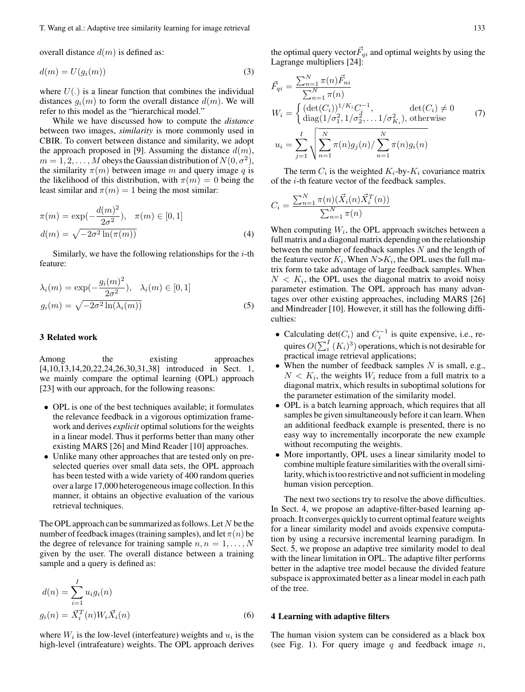overall distance  $d(m)$  is defined as:

$$
d(m) = U(g_i(m))
$$
\n(3)

where  $U(.)$  is a linear function that combines the individual distances  $g_i(m)$  to form the overall distance  $d(m)$ . We will refer to this model as the "hierarchical model."

While we have discussed how to compute the *distance* between two images, *similarity* is more commonly used in CBIR. To convert between distance and similarity, we adopt the approach proposed in [9]. Assuming the distance  $d(m)$ ,  $m = 1, 2, \ldots, M$  obeys the Gaussian distribution of  $N(0, \sigma^2)$ , the similarity  $\pi(m)$  between image m and query image q is the likelihood of this distribution, with  $\pi(m)=0$  being the least similar and  $\pi(m)=1$  being the most similar:

$$
\pi(m) = \exp(-\frac{d(m)^2}{2\sigma^2}), \quad \pi(m) \in [0, 1]
$$

$$
d(m) = \sqrt{-2\sigma^2 \ln(\pi(m))}
$$
(4)

Similarly, we have the following relationships for the  $i$ -th feature:

$$
\lambda_i(m) = \exp(-\frac{g_i(m)^2}{2\sigma^2}), \quad \lambda_i(m) \in [0, 1]
$$

$$
g_i(m) = \sqrt{-2\sigma^2 \ln(\lambda_i(m))}
$$
(5)

## **3 Related work**

Among the existing approaches [4,10,13,14,20,22,24,26,30,31,38] introduced in Sect. 1, we mainly compare the optimal learning (OPL) approach [23] with our approach, for the following reasons:

- OPL is one of the best techniques available; it formulates the relevance feedback in a vigorous optimization framework and derives *explicit* optimal solutions for the weights in a linear model. Thus it performs better than many other existing MARS [26] and Mind Reader [10] approaches.
- Unlike many other approaches that are tested only on preselected queries over small data sets, the OPL approach has been tested with a wide variety of 400 random queries over a large 17,000 heterogeneous image collection. In this manner, it obtains an objective evaluation of the various retrieval techniques.

The OPL approach can be summarized as follows. Let  $N$  be the number of feedback images (training samples), and let  $\pi(n)$  be the degree of relevance for training sample  $n, n = 1, \ldots, N$ given by the user. The overall distance between a training sample and a query is defined as:

$$
d(n) = \sum_{i=1}^{I} u_i g_i(n)
$$
  

$$
g_i(n) = \vec{X}_i^T(n) W_i \vec{X}_i(n)
$$
 (6)

where  $W_i$  is the low-level (interfeature) weights and  $u_i$  is the high-level (intrafeature) weights. The OPL approach derives the optimal query vector  $\vec{F}_{qi}$  and optimal weights by using the Lagrange multipliers [24]:

$$
\vec{F}_{qi} = \frac{\sum_{n=1}^{N} \pi(n) \vec{F}_{ni}}{\sum_{n=1}^{N} \pi(n)} \nW_{i} = \begin{cases}\n(\det(C_{i}))^{1/K_{i}} C_{i}^{-1}, & \det(C_{i}) \neq 0 \\
\text{diag}(1/\sigma_{1}^{2}, 1/\sigma_{2}^{2}, \dots 1/\sigma_{K_{i}}^{2}), \text{ otherwise}\n\end{cases}
$$
\n(7)\n  
\n
$$
u_{i} = \sum_{j=1}^{I} \sqrt{\sum_{n=1}^{N} \pi(n) g_{j}(n)} / \sum_{n=1}^{N} \pi(n) g_{i}(n)
$$

The term  $C_i$  is the weighted  $K_i$ -by- $K_i$  covariance matrix of the  $i$ -th feature vector of the feedback samples.

$$
C_i = \frac{\sum_{n=1}^{N} \pi(n) (\vec{X}_i(n) \vec{X}_i^T(n))}{\sum_{n=1}^{N} \pi(n)}
$$

When computing  $W_i$ , the OPL approach switches between a full matrix and a diagonal matrix depending on the relationship between the number of feedback samples  $N$  and the length of the feature vector  $K_i$ . When  $N>K_i$ , the OPL uses the full matrix form to take advantage of large feedback samples. When  $N < K<sub>i</sub>$ , the OPL uses the diagonal matrix to avoid noisy parameter estimation. The OPL approach has many advantages over other existing approaches, including MARS [26] and Mindreader [10]. However, it still has the following difficulties:

- Calculating  $\det(C_i)$  and  $C_i^{-1}$  is quite expensive, i.e., requires  $O(\sum_i^I (K_i)^3)$  operations, which is not desirable for practical image retrieval applications;
- When the number of feedback samples  $N$  is small, e.g.,  $N < K_i$ , the weights  $W_i$  reduce from a full matrix to a diagonal matrix, which results in suboptimal solutions for the parameter estimation of the similarity model.
- OPL is a batch learning approach, which requires that all samples be given simultaneously before it can learn. When an additional feedback example is presented, there is no easy way to incrementally incorporate the new example without recomputing the weights.
- More importantly, OPL uses a linear similarity model to combine multiple feature similarities with the overall similarity, which is too restrictive and not sufficient in modeling human vision perception.

The next two sections try to resolve the above difficulties. In Sect. 4, we propose an adaptive-filter-based learning approach. It converges quickly to current optimal feature weights for a linear similarity model and avoids expensive computation by using a recursive incremental learning paradigm. In Sect. 5, we propose an adaptive tree similarity model to deal with the linear limitation in OPL. The adaptive filter performs better in the adaptive tree model because the divided feature subspace is approximated better as a linear model in each path of the tree.

## **4 Learning with adaptive filters**

The human vision system can be considered as a black box (see Fig. 1). For query image q and feedback image  $n$ ,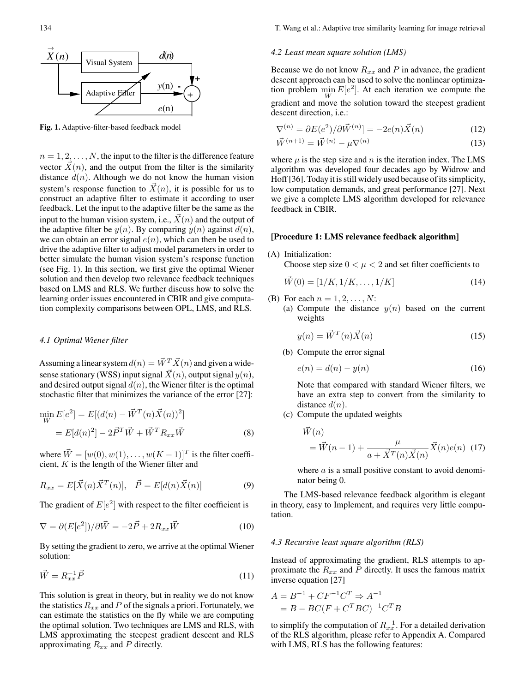

**Fig. 1.** Adaptive-filter-based feedback model

 $n = 1, 2, \ldots, N$ , the input to the filter is the difference feature vector  $\vec{X}(n)$ , and the output from the filter is the similarity distance  $d(n)$ . Although we do not know the human vision system's response function to  $\vec{X}(n)$ , it is possible for us to construct an adaptive filter to estimate it according to user feedback. Let the input to the adaptive filter be the same as the input to the human vision system, i.e.,  $\vec{X}(n)$  and the output of the adaptive filter be  $y(n)$ . By comparing  $y(n)$  against  $d(n)$ , we can obtain an error signal  $e(n)$ , which can then be used to drive the adaptive filter to adjust model parameters in order to better simulate the human vision system's response function (see Fig. 1). In this section, we first give the optimal Wiener solution and then develop two relevance feedback techniques based on LMS and RLS. We further discuss how to solve the learning order issues encountered in CBIR and give computation complexity comparisons between OPL, LMS, and RLS.

#### *4.1 Optimal Wiener filter*

Assuming a linear system  $d(n) = \vec{W}^T \vec{X}(n)$  and given a widesense stationary (WSS) input signal  $\overline{X}(n)$ , output signal  $y(n)$ , and desired output signal  $d(n)$ , the Wiener filter is the optimal stochastic filter that minimizes the variance of the error [27]:

$$
\min_{W} E[e^{2}] = E[(d(n) - \vec{W}^{T}(n)\vec{X}(n))^{2}]
$$

$$
= E[d(n)^{2}] - 2\vec{P}^{T}\vec{W} + \vec{W}^{T}R_{xx}\vec{W}
$$
(8)

where  $\vec{W} = [w(0), w(1), \dots, w(K-1)]^T$  is the filter coefficient,  $K$  is the length of the Wiener filter and

$$
R_{xx} = E[\vec{X}(n)\vec{X}^T(n)], \quad \vec{P} = E[d(n)\vec{X}(n)] \tag{9}
$$

The gradient of  $E[e^2]$  with respect to the filter coefficient is

$$
\nabla = \partial (E[e^2]) / \partial \vec{W} = -2\vec{P} + 2R_{xx}\vec{W}
$$
 (10)

By setting the gradient to zero, we arrive at the optimal Wiener solution:

$$
\vec{W} = R_{xx}^{-1} \vec{P} \tag{11}
$$

This solution is great in theory, but in reality we do not know the statistics  $R_{xx}$  and P of the signals a priori. Fortunately, we can estimate the statistics on the fly while we are computing the optimal solution. Two techniques are LMS and RLS, with LMS approximating the steepest gradient descent and RLS approximating  $R_{xx}$  and P directly.

#### 134 T. Wang et al.: Adaptive tree similarity learning for image retrieval

#### *4.2 Least mean square solution (LMS)*

Because we do not know  $R_{xx}$  and P in advance, the gradient descent approach can be used to solve the nonlinear optimization problem  $\min E[e^2]$ . At each iteration we compute the  $\overline{w}$  and move the solution toward the steepest gradient descent direction, i.e.:

$$
\nabla^{(n)} = \partial E(e^2) / \partial \vec{W}^{(n)} = -2e(n)\vec{X}(n)
$$
 (12)

$$
\vec{W}^{(n+1)} = \vec{W}^{(n)} - \mu \nabla^{(n)} \tag{13}
$$

where  $\mu$  is the step size and n is the iteration index. The LMS algorithm was developed four decades ago by Widrow and Hoff [36]. Today it is still widely used because of its simplicity, low computation demands, and great performance [27]. Next we give a complete LMS algorithm developed for relevance feedback in CBIR.

#### **[Procedure 1: LMS relevance feedback algorithm]**

(A) Initialization:

Choose step size  $0 < \mu < 2$  and set filter coefficients to

$$
\vec{W}(0) = [1/K, 1/K, \dots, 1/K] \tag{14}
$$

(B) For each  $n = 1, 2, \ldots, N$ :

(a) Compute the distance  $y(n)$  based on the current weights

$$
y(n) = \vec{W}^T(n)\vec{X}(n) \tag{15}
$$

(b) Compute the error signal

$$
e(n) = d(n) - y(n) \tag{16}
$$

Note that compared with standard Wiener filters, we have an extra step to convert from the similarity to distance  $d(n)$ .

(c) Compute the updated weights

$$
\vec{W}(n) = \vec{W}(n-1) + \frac{\mu}{a + \vec{X}^T(n)\vec{X}(n)}\vec{X}(n)e(n)
$$
 (17)

where  $a$  is a small positive constant to avoid denominator being 0.

The LMS-based relevance feedback algorithm is elegant in theory, easy to Implement, and requires very little computation.

#### *4.3 Recursive least square algorithm (RLS)*

Instead of approximating the gradient, RLS attempts to approximate the  $R_{xx}$  and P directly. It uses the famous matrix inverse equation [27]

$$
A = B^{-1} + CF^{-1}C^T \Rightarrow A^{-1}
$$
  
= B - BC(F + C<sup>T</sup>BC)<sup>-1</sup>C<sup>T</sup>B

to simplify the computation of  $R_{xx}^{-1}$ . For a detailed derivation of the RLS algorithm, please refer to Appendix A. Compared with LMS, RLS has the following features: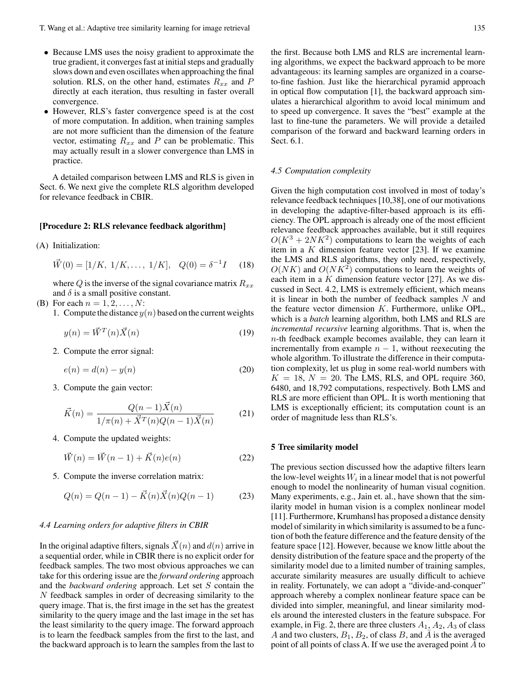- Because LMS uses the noisy gradient to approximate the true gradient, it converges fast at initial steps and gradually slows down and even oscillates when approaching the final solution. RLS, on the other hand, estimates  $R_{xx}$  and P directly at each iteration, thus resulting in faster overall convergence.
- However, RLS's faster convergence speed is at the cost of more computation. In addition, when training samples are not more sufficient than the dimension of the feature vector, estimating  $R_{xx}$  and P can be problematic. This may actually result in a slower convergence than LMS in practice.

A detailed comparison between LMS and RLS is given in Sect. 6. We next give the complete RLS algorithm developed for relevance feedback in CBIR.

## **[Procedure 2: RLS relevance feedback algorithm]**

(A) Initialization:

$$
\vec{W}(0) = [1/K, 1/K, \dots, 1/K], \quad Q(0) = \delta^{-1}I \quad (18)
$$

where Q is the inverse of the signal covariance matrix  $R_{xx}$ and  $\delta$  is a small positive constant.

(B) For each  $n = 1, 2, \ldots, N$ :

1. Compute the distance  $y(n)$  based on the current weights

$$
y(n) = \vec{W}^T(n)\vec{X}(n) \tag{19}
$$

2. Compute the error signal:

$$
e(n) = d(n) - y(n) \tag{20}
$$

3. Compute the gain vector:

$$
\vec{K}(n) = \frac{Q(n-1)\vec{X}(n)}{1/\pi(n) + \vec{X}^T(n)Q(n-1)\vec{X}(n)}
$$
(21)

4. Compute the updated weights:

$$
\vec{W}(n) = \vec{W}(n-1) + \vec{K}(n)e(n)
$$
 (22)

5. Compute the inverse correlation matrix:

$$
Q(n) = Q(n-1) - \vec{K}(n)\vec{X}(n)Q(n-1)
$$
 (23)

#### *4.4 Learning orders for adaptive filters in CBIR*

In the original adaptive filters, signals  $\vec{X}(n)$  and  $d(n)$  arrive in a sequential order, while in CBIR there is no explicit order for feedback samples. The two most obvious approaches we can take for this ordering issue are the *forward ordering* approach and the *backward ordering* approach. Let set S contain the N feedback samples in order of decreasing similarity to the query image. That is, the first image in the set has the greatest similarity to the query image and the last image in the set has the least similarity to the query image. The forward approach is to learn the feedback samples from the first to the last, and the backward approach is to learn the samples from the last to the first. Because both LMS and RLS are incremental learning algorithms, we expect the backward approach to be more advantageous: its learning samples are organized in a coarseto-fine fashion. Just like the hierarchical pyramid approach in optical flow computation [1], the backward approach simulates a hierarchical algorithm to avoid local minimum and to speed up convergence. It saves the "best" example at the last to fine-tune the parameters. We will provide a detailed comparison of the forward and backward learning orders in Sect. 6.1.

## *4.5 Computation complexity*

Given the high computation cost involved in most of today's relevance feedback techniques [10,38], one of our motivations in developing the adaptive-filter-based approach is its efficiency. The OPL approach is already one of the most efficient relevance feedback approaches available, but it still requires  $O(K^3 + 2NK^2)$  computations to learn the weights of each item in a  $K$  dimension feature vector [23]. If we examine the LMS and RLS algorithms, they only need, respectively,  $O(NK)$  and  $O(NK^2)$  computations to learn the weights of each item in a  $K$  dimension feature vector [27]. As we discussed in Sect. 4.2, LMS is extremely efficient, which means it is linear in both the number of feedback samples  $N$  and the feature vector dimension  $K$ . Furthermore, unlike OPL, which is a *batch* learning algorithm, both LMS and RLS are *incremental recursive* learning algorithms. That is, when the  $n$ -th feedback example becomes available, they can learn it incrementally from example  $n - 1$ , without reexecuting the whole algorithm. To illustrate the difference in their computation complexity, let us plug in some real-world numbers with  $K = 18$ ,  $N = 20$ . The LMS, RLS, and OPL require 360, 6480, and 18,792 computations, respectively. Both LMS and RLS are more efficient than OPL. It is worth mentioning that LMS is exceptionally efficient; its computation count is an order of magnitude less than RLS's.

## **5 Tree similarity model**

The previous section discussed how the adaptive filters learn the low-level weights  $W_i$  in a linear model that is not powerful enough to model the nonlinearity of human visual cognition. Many experiments, e.g., Jain et. al., have shown that the similarity model in human vision is a complex nonlinear model [11]. Furthermore, Krumhansl has proposed a distance density model of similarity in which similarity is assumed to be a function of both the feature difference and the feature density of the feature space [12]. However, because we know little about the density distribution of the feature space and the property of the similarity model due to a limited number of training samples, accurate similarity measures are usually difficult to achieve in reality. Fortunately, we can adopt a "divide-and-conquer" approach whereby a complex nonlinear feature space can be divided into simpler, meaningful, and linear similarity models around the interested clusters in the feature subspace. For example, in Fig. 2, there are three clusters  $A_1$ ,  $A_2$ ,  $A_3$  of class A and two clusters,  $B_1, B_2$ , of class B, and  $\overline{A}$  is the averaged point of all points of class A. If we use the averaged point  $A$  to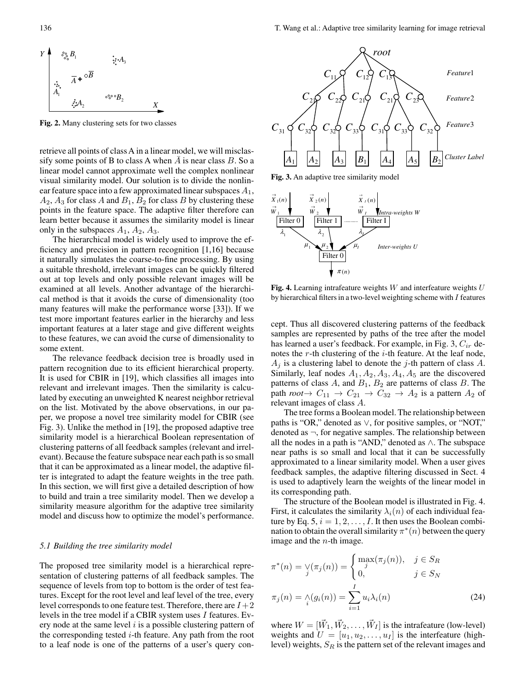

**Fig. 2.** Many clustering sets for two classes

retrieve all points of class A in a linear model, we will misclassify some points of B to class A when A is near class B. So a linear model cannot approximate well the complex nonlinear visual similarity model. Our solution is to divide the nonlinear feature space into a few approximated linear subspaces  $A_1$ ,  $A_2$ ,  $A_3$  for class A and  $B_1$ ,  $B_2$  for class B by clustering these points in the feature space. The adaptive filter therefore can learn better because it assumes the similarity model is linear only in the subspaces  $A_1$ ,  $A_2$ ,  $A_3$ .

The hierarchical model is widely used to improve the efficiency and precision in pattern recognition [1,16] because it naturally simulates the coarse-to-fine processing. By using a suitable threshold, irrelevant images can be quickly filtered out at top levels and only possible relevant images will be examined at all levels. Another advantage of the hierarchical method is that it avoids the curse of dimensionality (too many features will make the performance worse [33]). If we test more important features earlier in the hierarchy and less important features at a later stage and give different weights to these features, we can avoid the curse of dimensionality to some extent.

The relevance feedback decision tree is broadly used in pattern recognition due to its efficient hierarchical property. It is used for CBIR in [19], which classifies all images into relevant and irrelevant images. Then the similarity is calculated by executing an unweighted K nearest neighbor retrieval on the list. Motivated by the above observations, in our paper, we propose a novel tree similarity model for CBIR (see Fig. 3). Unlike the method in [19], the proposed adaptive tree similarity model is a hierarchical Boolean representation of clustering patterns of all feedback samples (relevant and irrelevant). Because the feature subspace near each path is so small that it can be approximated as a linear model, the adaptive filter is integrated to adapt the feature weights in the tree path. In this section, we will first give a detailed description of how to build and train a tree similarity model. Then we develop a similarity measure algorithm for the adaptive tree similarity model and discuss how to optimize the model's performance.

#### *5.1 Building the tree similarity model*

The proposed tree similarity model is a hierarchical representation of clustering patterns of all feedback samples. The sequence of levels from top to bottom is the order of test features. Except for the root level and leaf level of the tree, every level corresponds to one feature test. Therefore, there are  $I + 2$ levels in the tree model if a CBIR system uses I features. Every node at the same level  $i$  is a possible clustering pattern of the corresponding tested  $i$ -th feature. Any path from the root to a leaf node is one of the patterns of a user's query con-



**Fig. 3.** An adaptive tree similarity model



**Fig. 4.** Learning intrafeature weights  $W$  and interfeature weights  $U$ by hierarchical filters in a two-level weighting scheme with  $I$  features

cept. Thus all discovered clustering patterns of the feedback samples are represented by paths of the tree after the model has learned a user's feedback. For example, in Fig. 3,  $C_{ir}$  denotes the  $r$ -th clustering of the  $i$ -th feature. At the leaf node,  $A_i$  is a clustering label to denote the j-th pattern of class A. Similarly, leaf nodes  $A_1$ ,  $A_2$ ,  $A_3$ ,  $A_4$ ,  $A_5$  are the discovered patterns of class  $A$ , and  $B_1$ ,  $B_2$  are patterns of class  $B$ . The path  $root \rightarrow C_{11} \rightarrow C_{21} \rightarrow C_{32} \rightarrow A_2$  is a pattern  $A_2$  of relevant images of class A.

The tree forms a Boolean model. The relationship between paths is "OR," denoted as ∨, for positive samples, or "NOT," denoted as  $\neg$ , for negative samples. The relationship between all the nodes in a path is "AND," denoted as ∧. The subspace near paths is so small and local that it can be successfully approximated to a linear similarity model. When a user gives feedback samples, the adaptive filtering discussed in Sect. 4 is used to adaptively learn the weights of the linear model in its corresponding path.

The structure of the Boolean model is illustrated in Fig. 4. First, it calculates the similarity  $\lambda_i(n)$  of each individual feature by Eq.  $5$ ,  $i = 1, 2, \ldots, I$ . It then uses the Boolean combination to obtain the overall similarity  $\pi^*(n)$  between the query image and the  $n$ -th image.

$$
\pi^*(n) = \mathcal{V}(\pi_j(n)) = \begin{cases} \max_j(\pi_j(n)), & j \in S_R \\ 0, & j \in S_N \end{cases}
$$

$$
\pi_j(n) = \mathcal{V}(g_i(n)) = \sum_{i=1}^I u_i \lambda_i(n) \tag{24}
$$

where  $W = [\vec{W}_1, \vec{W}_2, \dots, \vec{W}_I]$  is the intrafeature (low-level) weights and  $U = [u_1, u_2, \ldots, u_I]$  is the interfeature (highlevel) weights,  $S_R$  is the pattern set of the relevant images and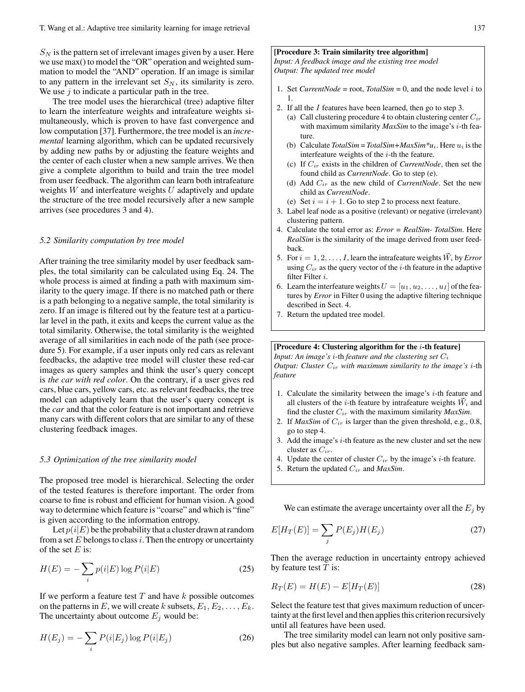$S_N$  is the pattern set of irrelevant images given by a user. Here we use max() to model the "OR" operation and weighted summation to model the "AND" operation. If an image is similar to any pattern in the irrelevant set  $S_N$ , its similarity is zero. We use  $j$  to indicate a particular path in the tree.

The tree model uses the hierarchical (tree) adaptive filter to learn the interfeature weights and intrafeature weights simultaneously, which is proven to have fast convergence and low computation [37]. Furthermore, the tree model is an *incremental* learning algorithm, which can be updated recursively by adding new paths by or adjusting the feature weights and the center of each cluster when a new sample arrives. We then give a complete algorithm to build and train the tree model from user feedback. The algorithm can learn both intrafeature weights  $W$  and interfeature weights  $U$  adaptively and update the structure of the tree model recursively after a new sample arrives (see procedures 3 and 4).

## *5.2 Similarity computation by tree model*

After training the tree similarity model by user feedback samples, the total similarity can be calculated using Eq. 24. The whole process is aimed at finding a path with maximum similarity to the query image. If there is no matched path or there is a path belonging to a negative sample, the total similarity is zero. If an image is filtered out by the feature test at a particular level in the path, it exits and keeps the current value as the total similarity. Otherwise, the total similarity is the weighted average of all similarities in each node of the path (see procedure 5). For example, if a user inputs only red cars as relevant feedbacks, the adaptive tree model will cluster these red-car images as query samples and think the user's query concept is *the car with red color*. On the contrary, if a user gives red cars, blue cars, yellow cars, etc. as relevant feedbacks, the tree model can adaptively learn that the user's query concept is the *car* and that the color feature is not important and retrieve many cars with different colors that are similar to any of these clustering feedback images.

#### *5.3 Optimization of the tree similarity model*

The proposed tree model is hierarchical. Selecting the order of the tested features is therefore important. The order from coarse to fine is robust and efficient for human vision. A good way to determine which feature is "coarse" and which is "fine" is given according to the information entropy.

Let  $p(i|E)$  be the probability that a cluster drawn at random from a set  $E$  belongs to class  $i$ . Then the entropy or uncertainty of the set  $E$  is:

$$
H(E) = -\sum_{i} p(i|E) \log P(i|E)
$$
\n(25)

If we perform a feature test  $T$  and have  $k$  possible outcomes on the patterns in E, we will create k subsets,  $E_1, E_2, \ldots, E_k$ . The uncertainty about outcome  $E_i$  would be:

$$
H(E_j) = -\sum_i P(i|E_j) \log P(i|E_j)
$$
\n(26)

## **[Procedure 3: Train similarity tree algorithm]** *Input: A feedback image and the existing tree model Output: The updated tree model*

- 1. Set *CurrentNode* = root, *TotalSim* = 0, and the node level *i* to 1.
- 2. If all the I features have been learned, then go to step 3.
	- (a) Call clustering procedure 4 to obtain clustering center  $C_{ir}$ with maximum similarity *MaxSim* to the image's *i*-th feature.
	- (b) Calculate  $TotalSim = TotalSim + MaxSim * u_i$ . Here  $u_i$  is the interfeature weights of the  $i$ -th the feature.
	- (c) If  $C_{ir}$  exists in the children of *CurrentNode*, then set the found child as *CurrentNode*. Go to step (e).
	- (d) Add  $C_{ir}$  as the new child of *CurrentNode*. Set the new child as *CurrentNode*.
	- (e) Set  $i = i + 1$ . Go to step 2 to process next feature.
- 3. Label leaf node as a positive (relevant) or negative (irrelevant) clustering pattern.
- 4. Calculate the total error as: *Error = RealSim- TotalSim*. Here *RealSim* is the similarity of the image derived from user feedback.
- 5. For  $i = 1, 2, \ldots, I$ , learn the intrafeature weights  $\vec{W}_i$  by *Error* using  $C_{ir}$  as the query vector of the *i*-th feature in the adaptive filter Filter i.
- 6. Learn the interfeature weights  $U = [u_1, u_2, \dots, u_I]$  of the features by *Error* in Filter 0 using the adaptive filtering technique described in Sect. 4.
- 7. Return the updated tree model.

#### **[Procedure 4: Clustering algorithm for the** i**-th feature]**

*Input: An image's i-th feature and the clustering set*  $C_i$ *Output: Cluster* Cir *with maximum similarity to the image's* i-th *feature*

- 1. Calculate the similarity between the image's  $i$ -th feature and all clusters of the *i*-th feature by intrafeature weights  $W_i$  and find the cluster  $C_{ir}$  with the maximum similarity *MaxSim*.
- 2. If *MaxSim* of  $C_{ir}$  is larger than the given threshold, e.g., 0.8, go to step 4.
- 3. Add the image's  $i$ -th feature as the new cluster and set the new cluster as  $C_{ir}$ .
- 4. Update the center of cluster  $C_{ir}$  by the image's *i*-th feature.
- 5. Return the updated  $C_{ir}$  and *MaxSim*.

We can estimate the average uncertainty over all the  $E_i$  by

$$
E[H_T(E)] = \sum_j P(E_j)H(E_j)
$$
\n(27)

Then the average reduction in uncertainty entropy achieved by feature test  $T$  is:

$$
R_T(E) = H(E) - E[H_T(E)]
$$
\n(28)

Select the feature test that gives maximum reduction of uncertainty at the first level and then applies this criterion recursively until all features have been used.

The tree similarity model can learn not only positive samples but also negative samples. After learning feedback sam-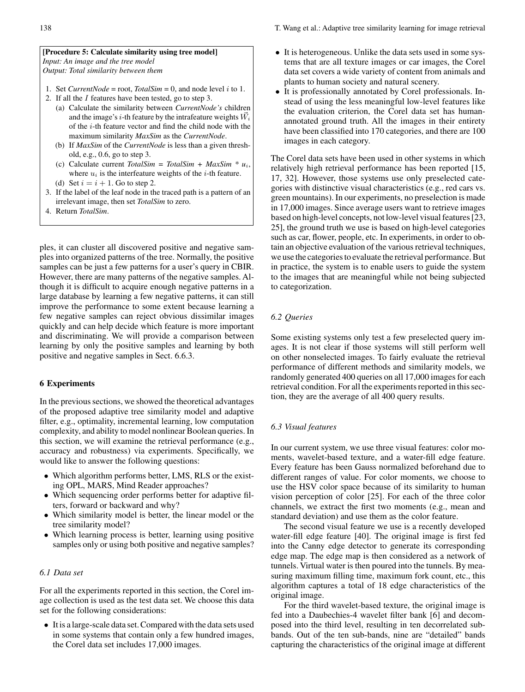## **[Procedure 5: Calculate similarity using tree model]**

*Input: An image and the tree model Output: Total similarity between them*

- 1. Set *CurrentNode* = root, *TotalSim* = 0, and node level i to 1.
- 2. If all the I features have been tested, go to step 3.
	- (a) Calculate the similarity between *CurrentNode's* children and the image's *i*-th feature by the intrafeature weights  $W_i$ of the i-th feature vector and find the child node with the maximum similarity *MaxSim* as the *CurrentNode*.
	- (b) If *MaxSim* of the *CurrentNode* is less than a given threshold, e.g., 0.6, go to step 3.
	- (c) Calculate current *TotalSim = TotalSim + MaxSim \* u*i, where  $u_i$  is the interfeature weights of the *i*-th feature.
	- (d) Set  $i = i + 1$ . Go to step 2.
- 3. If the label of the leaf node in the traced path is a pattern of an irrelevant image, then set *TotalSim* to zero.
- 4. Return *TotalSim*.

ples, it can cluster all discovered positive and negative samples into organized patterns of the tree. Normally, the positive samples can be just a few patterns for a user's query in CBIR. However, there are many patterns of the negative samples. Although it is difficult to acquire enough negative patterns in a large database by learning a few negative patterns, it can still improve the performance to some extent because learning a few negative samples can reject obvious dissimilar images quickly and can help decide which feature is more important and discriminating. We will provide a comparison between learning by only the positive samples and learning by both positive and negative samples in Sect. 6.6.3.

## **6 Experiments**

In the previous sections, we showed the theoretical advantages of the proposed adaptive tree similarity model and adaptive filter, e.g., optimality, incremental learning, low computation complexity, and ability to model nonlinear Boolean queries. In this section, we will examine the retrieval performance (e.g., accuracy and robustness) via experiments. Specifically, we would like to answer the following questions:

- Which algorithm performs better, LMS, RLS or the existing OPL, MARS, Mind Reader approaches?
- Which sequencing order performs better for adaptive filters, forward or backward and why?
- Which similarity model is better, the linear model or the tree similarity model?
- Which learning process is better, learning using positive samples only or using both positive and negative samples?

## *6.1 Data set*

For all the experiments reported in this section, the Corel image collection is used as the test data set. We choose this data set for the following considerations:

• It is a large-scale data set. Compared with the data sets used in some systems that contain only a few hundred images, the Corel data set includes 17,000 images.

- It is heterogeneous. Unlike the data sets used in some systems that are all texture images or car images, the Corel data set covers a wide variety of content from animals and plants to human society and natural scenery.
- It is professionally annotated by Corel professionals. Instead of using the less meaningful low-level features like the evaluation criterion, the Corel data set has humanannotated ground truth. All the images in their entirety have been classified into 170 categories, and there are 100 images in each category.

The Corel data sets have been used in other systems in which relatively high retrieval performance has been reported [15, 17, 32]. However, those systems use only preselected categories with distinctive visual characteristics (e.g., red cars vs. green mountains). In our experiments, no preselection is made in 17,000 images. Since average users want to retrieve images based on high-level concepts, not low-level visual features [23, 25], the ground truth we use is based on high-level categories such as car, flower, people, etc. In experiments, in order to obtain an objective evaluation of the various retrieval techniques, we use the categories to evaluate the retrieval performance. But in practice, the system is to enable users to guide the system to the images that are meaningful while not being subjected to categorization.

#### *6.2 Queries*

Some existing systems only test a few preselected query images. It is not clear if those systems will still perform well on other nonselected images. To fairly evaluate the retrieval performance of different methods and similarity models, we randomly generated 400 queries on all 17,000 images for each retrieval condition. For all the experiments reported in this section, they are the average of all 400 query results.

## *6.3 Visual features*

In our current system, we use three visual features: color moments, wavelet-based texture, and a water-fill edge feature. Every feature has been Gauss normalized beforehand due to different ranges of value. For color moments, we choose to use the HSV color space because of its similarity to human vision perception of color [25]. For each of the three color channels, we extract the first two moments (e.g., mean and standard deviation) and use them as the color feature.

The second visual feature we use is a recently developed water-fill edge feature [40]. The original image is first fed into the Canny edge detector to generate its corresponding edge map. The edge map is then considered as a network of tunnels. Virtual water is then poured into the tunnels. By measuring maximum filling time, maximum fork count, etc., this algorithm captures a total of 18 edge characteristics of the original image.

For the third wavelet-based texture, the original image is fed into a Daubechies-4 wavelet filter bank [6] and decomposed into the third level, resulting in ten decorrelated subbands. Out of the ten sub-bands, nine are "detailed" bands capturing the characteristics of the original image at different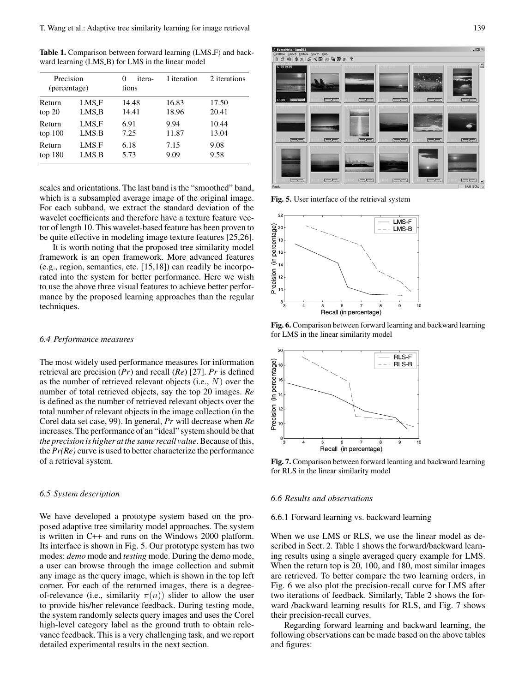**Table 1.** Comparison between forward learning (LMS<sub>F</sub>) and backward learning (LMS<sub>B</sub>) for LMS in the linear model

| Precision<br>(percentage) |       | itera-<br>$\theta$<br>tions | 1 iteration | 2 iterations |
|---------------------------|-------|-----------------------------|-------------|--------------|
| Return                    | LMS_F | 14.48                       | 16.83       | 17.50        |
| top 20                    | LMS B | 14.41                       | 18.96       | 20.41        |
| Return                    | LMS F | 6.91                        | 9.94        | 10.44        |
| top $100$                 | LMS_B | 7.25                        | 11.87       | 13.04        |
| Return                    | LMS F | 6.18                        | 7.15        | 9.08         |
| top $180$                 | LMS B | 5.73                        | 9.09        | 9.58         |

scales and orientations. The last band is the "smoothed" band, which is a subsampled average image of the original image. For each subband, we extract the standard deviation of the wavelet coefficients and therefore have a texture feature vector of length 10. This wavelet-based feature has been proven to be quite effective in modeling image texture features [25,26].

It is worth noting that the proposed tree similarity model framework is an open framework. More advanced features (e.g., region, semantics, etc. [15,18]) can readily be incorporated into the system for better performance. Here we wish to use the above three visual features to achieve better performance by the proposed learning approaches than the regular techniques.

#### *6.4 Performance measures*

The most widely used performance measures for information retrieval are precision (*Pr*) and recall (*Re*) [27]. *Pr* is defined as the number of retrieved relevant objects (i.e.,  $N$ ) over the number of total retrieved objects, say the top 20 images. *Re* is defined as the number of retrieved relevant objects over the total number of relevant objects in the image collection (in the Corel data set case, 99). In general, *Pr* will decrease when *Re* increases. The performance of an "ideal" system should be that *the precision is higher at the same recall value*. Because of this, the *Pr(Re)* curve is used to better characterize the performance of a retrieval system.

## *6.5 System description*

We have developed a prototype system based on the proposed adaptive tree similarity model approaches. The system is written in C++ and runs on the Windows 2000 platform. Its interface is shown in Fig. 5. Our prototype system has two modes: *demo* mode and *testing* mode. During the demo mode, a user can browse through the image collection and submit any image as the query image, which is shown in the top left corner. For each of the returned images, there is a degreeof-relevance (i.e., similarity  $\pi(n)$ ) slider to allow the user to provide his/her relevance feedback. During testing mode, the system randomly selects query images and uses the Corel high-level category label as the ground truth to obtain relevance feedback. This is a very challenging task, and we report detailed experimental results in the next section.



**Fig. 5.** User interface of the retrieval system



**Fig. 6.** Comparison between forward learning and backward learning for LMS in the linear similarity model



**Fig. 7.** Comparison between forward learning and backward learning for RLS in the linear similarity model

### *6.6 Results and observations*

## 6.6.1 Forward learning vs. backward learning

When we use LMS or RLS, we use the linear model as described in Sect. 2. Table 1 shows the forward/backward learning results using a single averaged query example for LMS. When the return top is 20, 100, and 180, most similar images are retrieved. To better compare the two learning orders, in Fig. 6 we also plot the precision-recall curve for LMS after two iterations of feedback. Similarly, Table 2 shows the forward /backward learning results for RLS, and Fig. 7 shows their precision-recall curves.

Regarding forward learning and backward learning, the following observations can be made based on the above tables and figures: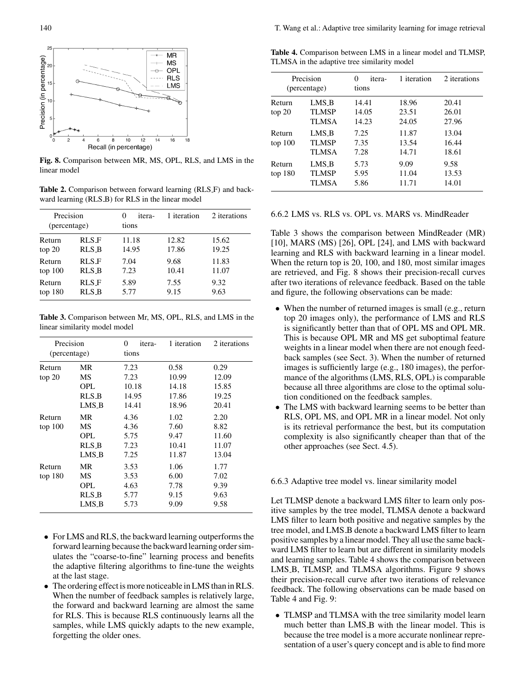

**Fig. 8.** Comparison between MR, MS, OPL, RLS, and LMS in the linear model

**Table 2.** Comparison between forward learning (RLS F) and backward learning (RLS\_B) for RLS in the linear model

| Precision<br>(percentage) |              | itera-<br>$\theta$<br>tions | 1 iteration | 2 iterations |
|---------------------------|--------------|-----------------------------|-------------|--------------|
| Return                    | RLS F        | 11.18                       | 12.82       | 15.62        |
| top 20                    | RLS_B        | 14.95                       | 17.86       | 19.25        |
| Return                    | <b>RLS_F</b> | 7.04                        | 9.68        | 11.83        |
| top $100$                 | <b>RLS B</b> | 7.23                        | 10.41       | 11.07        |
| Return                    | <b>RLS_F</b> | 5.89                        | 7.55        | 9.32         |
| top $180$                 | RLS_B        | 5.77                        | 9.15        | 9.63         |

**Table 3.** Comparison between Mr, MS, OPL, RLS, and LMS in the linear similarity model model

| Precision<br>(percentage) |                                                             | $\Omega$<br>itera-<br>tions          | 1 iteration                            | 2 iterations                            |
|---------------------------|-------------------------------------------------------------|--------------------------------------|----------------------------------------|-----------------------------------------|
| Return<br>top 20          | MR<br>МS<br>OPL.                                            | 7.23<br>7.23<br>10.18                | 0.58<br>10.99<br>14.18                 | 0.29<br>12.09<br>15.85                  |
|                           | <b>RLS_B</b><br>LMS_B                                       | 14.95<br>14.41                       | 17.86<br>18.96                         | 19.25<br>20.41                          |
| Return<br>top 100         | MR<br>MS<br>OPL.<br><b>RLS_B</b><br>LMS B                   | 4.36<br>4.36<br>5.75<br>7.23<br>7.25 | 1.02<br>7.60<br>9.47<br>10.41<br>11.87 | 2.20<br>8.82<br>11.60<br>11.07<br>13.04 |
| Return<br>top $180$       | MR<br>MS<br>OPL<br>RLS <sub>-</sub> B<br>LMS <sub>-</sub> B | 3.53<br>3.53<br>4.63<br>5.77<br>5.73 | 1.06<br>6.00<br>7.78<br>9.15<br>9.09   | 1.77<br>7.02<br>9.39<br>9.63<br>9.58    |

- For LMS and RLS, the backward learning outperforms the forward learning because the backward learning order simulates the "coarse-to-fine" learning process and benefits the adaptive filtering algorithms to fine-tune the weights at the last stage.
- The ordering effect is more noticeable in LMS than in RLS. When the number of feedback samples is relatively large, the forward and backward learning are almost the same for RLS. This is because RLS continuously learns all the samples, while LMS quickly adapts to the new example, forgetting the older ones.

**Table 4.** Comparison between LMS in a linear model and TLMSP, TLMSA in the adaptive tree similarity model

| Precision<br>(percentage) |                                                    | itera-<br>0<br>tions    | 1 iteration             | 2 iterations            |
|---------------------------|----------------------------------------------------|-------------------------|-------------------------|-------------------------|
| Return<br>top 20          | LMS_B<br><b>TLMSP</b><br>TLMSA                     | 14.41<br>14.05<br>14.23 | 18.96<br>23.51<br>24.05 | 20.41<br>26.01<br>27.96 |
| Return<br>top 100         | LMS <sub>-</sub> B<br><b>TLMSP</b><br>TLMSA        | 7.25<br>7.35<br>7.28    | 11.87<br>13.54<br>14.71 | 13.04<br>16.44<br>18.61 |
| Return<br>top 180         | LMS <sub>-</sub> B<br><b>TLMSP</b><br><b>TLMSA</b> | 5.73<br>5.95<br>5.86    | 9.09<br>11.04<br>11.71  | 9.58<br>13.53<br>14.01  |

## 6.6.2 LMS vs. RLS vs. OPL vs. MARS vs. MindReader

Table 3 shows the comparison between MindReader (MR) [10], MARS (MS) [26], OPL [24], and LMS with backward learning and RLS with backward learning in a linear model. When the return top is 20, 100, and 180, most similar images are retrieved, and Fig. 8 shows their precision-recall curves after two iterations of relevance feedback. Based on the table and figure, the following observations can be made:

- When the number of returned images is small (e.g., return top 20 images only), the performance of LMS and RLS is significantly better than that of OPL MS and OPL MR. This is because OPL MR and MS get suboptimal feature weights in a linear model when there are not enough feedback samples (see Sect. 3). When the number of returned images is sufficiently large (e.g., 180 images), the performance of the algorithms (LMS, RLS, OPL) is comparable because all three algorithms are close to the optimal solution conditioned on the feedback samples.
- The LMS with backward learning seems to be better than RLS, OPL MS, and OPL MR in a linear model. Not only is its retrieval performance the best, but its computation complexity is also significantly cheaper than that of the other approaches (see Sect. 4.5).

## 6.6.3 Adaptive tree model vs. linear similarity model

Let TLMSP denote a backward LMS filter to learn only positive samples by the tree model, TLMSA denote a backward LMS filter to learn both positive and negative samples by the tree model, and LMS B denote a backward LMS filter to learn positive samples by a linear model. They all use the same backward LMS filter to learn but are different in similarity models and learning samples. Table 4 shows the comparison between LMS<sub>-B</sub>, TLMSP, and TLMSA algorithms. Figure 9 shows their precision-recall curve after two iterations of relevance feedback. The following observations can be made based on Table 4 and Fig. 9:

• TLMSP and TLMSA with the tree similarity model learn much better than LMS<sub>-B</sub> with the linear model. This is because the tree model is a more accurate nonlinear representation of a user's query concept and is able to find more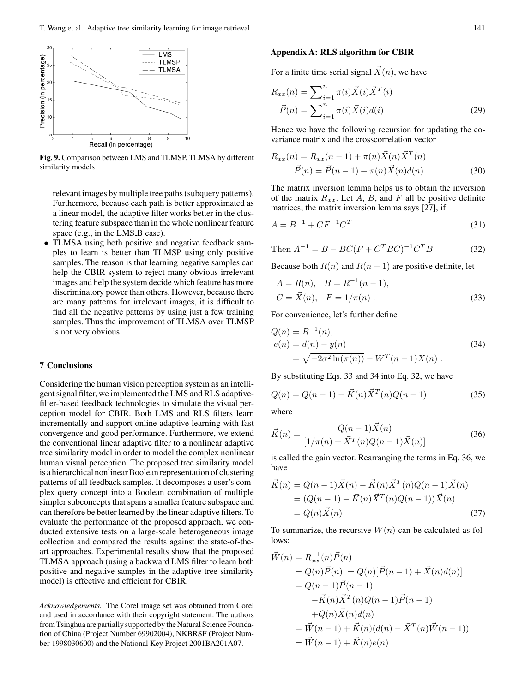

**Fig. 9.** Comparison between LMS and TLMSP, TLMSA by different similarity models

relevant images by multiple tree paths (subquery patterns). Furthermore, because each path is better approximated as a linear model, the adaptive filter works better in the clustering feature subspace than in the whole nonlinear feature space (e.g., in the LMS<sub>-B</sub> case).

• TLMSA using both positive and negative feedback samples to learn is better than TLMSP using only positive samples. The reason is that learning negative samples can help the CBIR system to reject many obvious irrelevant images and help the system decide which feature has more discriminatory power than others. However, because there are many patterns for irrelevant images, it is difficult to find all the negative patterns by using just a few training samples. Thus the improvement of TLMSA over TLMSP is not very obvious.

## **7 Conclusions**

Considering the human vision perception system as an intelligent signal filter, we implemented the LMS and RLS adaptivefilter-based feedback technologies to simulate the visual perception model for CBIR. Both LMS and RLS filters learn incrementally and support online adaptive learning with fast convergence and good performance. Furthermore, we extend the conventional linear adaptive filter to a nonlinear adaptive tree similarity model in order to model the complex nonlinear human visual perception. The proposed tree similarity model is a hierarchical nonlinear Boolean representation of clustering patterns of all feedback samples. It decomposes a user's complex query concept into a Boolean combination of multiple simpler subconcepts that spans a smaller feature subspace and can therefore be better learned by the linear adaptive filters. To evaluate the performance of the proposed approach, we conducted extensive tests on a large-scale heterogeneous image collection and compared the results against the state-of-theart approaches. Experimental results show that the proposed TLMSA approach (using a backward LMS filter to learn both positive and negative samples in the adaptive tree similarity model) is effective and efficient for CBIR.

*Acknowledgements.* The Corel image set was obtained from Corel and used in accordance with their copyright statement. The authors from Tsinghua are partially supported by the Natural Science Foundation of China (Project Number 69902004), NKBRSF (Project Number 1998030600) and the National Key Project 2001BA201A07.

#### **Appendix A: RLS algorithm for CBIR**

For a finite time serial signal  $\vec{X}(n)$ , we have

$$
R_{xx}(n) = \sum_{i=1}^{n} \pi(i)\vec{X}(i)\vec{X}^{T}(i)
$$
  

$$
\vec{P}(n) = \sum_{i=1}^{n} \pi(i)\vec{X}(i)d(i)
$$
 (29)

Hence we have the following recursion for updating the covariance matrix and the crosscorrelation vector

$$
R_{xx}(n) = R_{xx}(n-1) + \pi(n)\vec{X}(n)\vec{X}^{T}(n)
$$
  

$$
\vec{P}(n) = \vec{P}(n-1) + \pi(n)\vec{X}(n)d(n)
$$
 (30)

The matrix inversion lemma helps us to obtain the inversion of the matrix  $R_{xx}$ . Let A, B, and F all be positive definite matrices; the matrix inversion lemma says [27], if

$$
A = B^{-1} + C F^{-1} C^T
$$
\n(31)

Then 
$$
A^{-1} = B - BC(F + C^T BC)^{-1} C^T B
$$
 (32)

Because both  $R(n)$  and  $R(n - 1)$  are positive definite, let

$$
A = R(n), B = R^{-1}(n - 1),
$$
  
\n
$$
C = \vec{X}(n), F = 1/\pi(n).
$$
\n(33)

For convenience, let's further define

$$
Q(n) = R^{-1}(n),
$$
  
\n
$$
e(n) = d(n) - y(n)
$$
  
\n
$$
= \sqrt{-2\sigma^2 \ln(\pi(n))} - W^T(n-1)X(n).
$$
\n(34)

By substituting Eqs. 33 and 34 into Eq. 32, we have

$$
Q(n) = Q(n-1) - \vec{K}(n)\vec{X}^T(n)Q(n-1)
$$
\n(35)

where

$$
\vec{K}(n) = \frac{Q(n-1)\vec{X}(n)}{[1/\pi(n) + \vec{X}^T(n)Q(n-1)\vec{X}(n)]}
$$
(36)

is called the gain vector. Rearranging the terms in Eq. 36, we have

$$
\vec{K}(n) = Q(n-1)\vec{X}(n) - \vec{K}(n)\vec{X}^T(n)Q(n-1)\vec{X}(n)
$$
  
=  $(Q(n-1) - \vec{K}(n)\vec{X}^T(n)Q(n-1))\vec{X}(n)$   
=  $Q(n)\vec{X}(n)$  (37)

To summarize, the recursive  $W(n)$  can be calculated as follows:

$$
\begin{aligned}\n\vec{W}(n) &= R_{xx}^{-1}(n)\vec{P}(n) \\
&= Q(n)\vec{P}(n) = Q(n)[\vec{P}(n-1) + \vec{X}(n)d(n)] \\
&= Q(n-1)\vec{P}(n-1) \\
&- \vec{K}(n)\vec{X}^T(n)Q(n-1)\vec{P}(n-1) \\
&+ Q(n)\vec{X}(n)d(n) \\
&= \vec{W}(n-1) + \vec{K}(n)(d(n) - \vec{X}^T(n)\vec{W}(n-1)) \\
&= \vec{W}(n-1) + \vec{K}(n)e(n)\n\end{aligned}
$$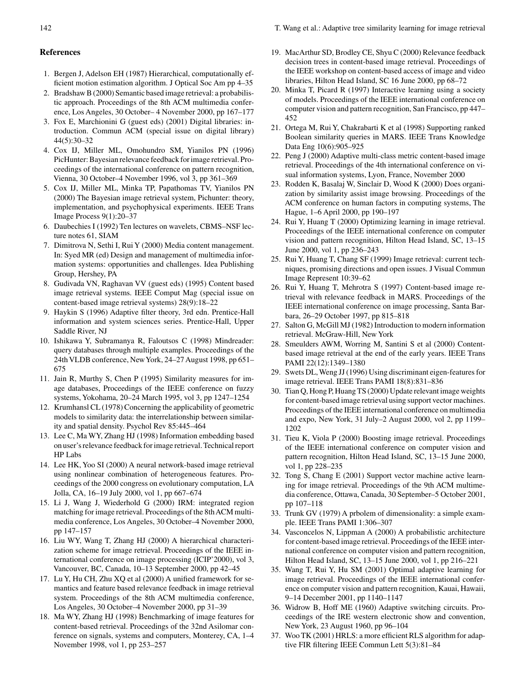### **References**

- 1. Bergen J, Adelson EH (1987) Hierarchical, computationally efficient motion estimation algorithm. J Optical Soc Am pp 4–35
- 2. Bradshaw B (2000) Semantic based image retrieval: a probabilistic approach. Proceedings of the 8th ACM multimedia conference, Los Angeles, 30 October– 4 November 2000, pp 167–177
- 3. Fox E, Marchionini G (guest eds) (2001) Digital libraries: introduction. Commun ACM (special issue on digital library) 44(5):30–32
- 4. Cox IJ, Miller ML, Omohundro SM, Yianilos PN (1996) PicHunter: Bayesian relevance feedback for image retrieval. Proceedings of the international conference on pattern recognition, Vienna, 30 October–4 November 1996, vol 3, pp 361–369
- 5. Cox IJ, Miller ML, Minka TP, Papathomas TV, Yianilos PN (2000) The Bayesian image retrieval system, Pichunter: theory, implementation, and psychophysical experiments. IEEE Trans Image Process 9(1):20–37
- 6. Daubechies I (1992) Ten lectures on wavelets, CBMS–NSF lecture notes 61, SIAM
- 7. Dimitrova N, Sethi I, Rui Y (2000) Media content management. In: Syed MR (ed) Design and management of multimedia information systems: opportunities and challenges. Idea Publishing Group, Hershey, PA
- 8. Gudivada VN, Raghavan VV (guest eds) (1995) Content based image retrieval systems. IEEE Comput Mag (special issue on content-based image retrieval systems) 28(9):18–22
- 9. Haykin S (1996) Adaptive filter theory, 3rd edn. Prentice-Hall information and system sciences series. Prentice-Hall, Upper Saddle River, NJ
- 10. Ishikawa Y, Subramanya R, Faloutsos C (1998) Mindreader: query databases through multiple examples. Proceedings of the 24th VLDB conference, NewYork, 24–27 August 1998, pp 651– 675
- 11. Jain R, Murthy S, Chen P (1995) Similarity measures for image databases, Proceedings of the IEEE conference on fuzzy systems, Yokohama, 20–24 March 1995, vol 3, pp 1247–1254
- 12. Krumhansl CL (1978) Concerning the applicability of geometric models to similarity data: the interrelationship between similarity and spatial density. Psychol Rev 85:445–464
- 13. Lee C, Ma WY, Zhang HJ (1998) Information embedding based on user's relevance feedback for image retrieval. Technical report HP Labs
- 14. Lee HK, Yoo SI (2000) A neural network-based image retrieval using nonlinear combination of heterogeneous features. Proceedings of the 2000 congress on evolutionary computation, LA Jolla, CA, 16–19 July 2000, vol 1, pp 667–674
- 15. Li J, Wang J, Wiederhold G (2000) IRM: integrated region matching for image retrieval. Proceedings of the 8th ACM multimedia conference, Los Angeles, 30 October–4 November 2000, pp 147–157
- 16. Liu WY, Wang T, Zhang HJ (2000) A hierarchical characterization scheme for image retrieval. Proceedings of the IEEE international conference on image processing (ICIP'2000), vol 3, Vancouver, BC, Canada, 10–13 September 2000, pp 42–45
- 17. Lu Y, Hu CH, Zhu XQ et al (2000) A unified framework for semantics and feature based relevance feedback in image retrieval system. Proceedings of the 8th ACM multimedia conference, Los Angeles, 30 October–4 November 2000, pp 31–39
- 18. Ma WY, Zhang HJ (1998) Benchmarking of image features for content-based retrieval. Proceedings of the 32nd Asilomar conference on signals, systems and computers, Monterey, CA, 1–4 November 1998, vol 1, pp 253–257
- 19. MacArthur SD, Brodley CE, Shyu C (2000) Relevance feedback decision trees in content-based image retrieval. Proceedings of the IEEE workshop on content-based access of image and video libraries, Hilton Head Island, SC 16 June 2000, pp 68–72
- 20. Minka T, Picard R (1997) Interactive learning using a society of models. Proceedings of the IEEE international conference on computer vision and pattern recognition, San Francisco, pp 447– 452
- 21. Ortega M, Rui Y, Chakrabarti K et al (1998) Supporting ranked Boolean similarity queries in MARS. IEEE Trans Knowledge Data Eng 10(6):905–925
- 22. Peng J (2000) Adaptive multi-class metric content-based image retrieval. Proceedings of the 4th international conference on visual information systems, Lyon, France, November 2000
- 23. Rodden K, Basalaj W, Sinclair D, Wood K (2000) Does organization by similarity assist image browsing. Proceedings of the ACM conference on human factors in computing systems, The Hague, 1–6 April 2000, pp 190–197
- 24. Rui Y, Huang T (2000) Optimizing learning in image retrieval. Proceedings of the IEEE international conference on computer vision and pattern recognition, Hilton Head Island, SC, 13–15 June 2000, vol 1, pp 236–243
- 25. Rui Y, Huang T, Chang SF (1999) Image retrieval: current techniques, promising directions and open issues. J Visual Commun Image Represent 10:39–62
- 26. Rui Y, Huang T, Mehrotra S (1997) Content-based image retrieval with relevance feedback in MARS. Proceedings of the IEEE international conference on image processing, Santa Barbara, 26–29 October 1997, pp 815–818
- 27. Salton G, McGill MJ (1982) Introduction to modern information retrieval. McGraw-Hill, New York
- 28. Smeulders AWM, Worring M, Santini S et al (2000) Contentbased image retrieval at the end of the early years. IEEE Trans PAMI 22(12):1349–1380
- 29. Swets DL, Weng JJ (1996) Using discriminant eigen-features for image retrieval. IEEE Trans PAMI 18(8):831–836
- 30. Tian Q, Hong P, Huang TS (2000) Update relevant image weights for content-based image retrieval using support vector machines. Proceedings of the IEEE international conference on multimedia and expo, New York, 31 July–2 August 2000, vol 2, pp 1199– 1202
- 31. Tieu K, Viola P (2000) Boosting image retrieval. Proceedings of the IEEE international conference on computer vision and pattern recognition, Hilton Head Island, SC, 13–15 June 2000, vol 1, pp 228–235
- 32. Tong S, Chang E (2001) Support vector machine active learning for image retrieval. Proceedings of the 9th ACM multimedia conference, Ottawa, Canada, 30 September–5 October 2001, pp 107–118
- 33. Trunk GV (1979) A prbolem of dimensionality: a simple example. IEEE Trans PAMI 1:306–307
- 34. Vasconcelos N, Lippman A (2000) A probabilistic architecture for content-based image retrieval. Proceedings of the IEEE international conference on computer vision and pattern recognition, Hilton Head Island, SC, 13–15 June 2000, vol 1, pp 216–221
- 35. Wang T, Rui Y, Hu SM (2001) Optimal adaptive learning for image retrieval. Proceedings of the IEEE international conference on computer vision and pattern recognition, Kauai, Hawaii, 9–14 December 2001, pp 1140–1147
- 36. Widrow B, Hoff ME (1960) Adaptive switching circuits. Proceedings of the IRE western electronic show and convention, New York, 23 August 1960, pp 96–104
- 37. Woo TK (2001) HRLS: a more efficient RLS algorithm for adaptive FIR filtering IEEE Commun Lett 5(3):81–84